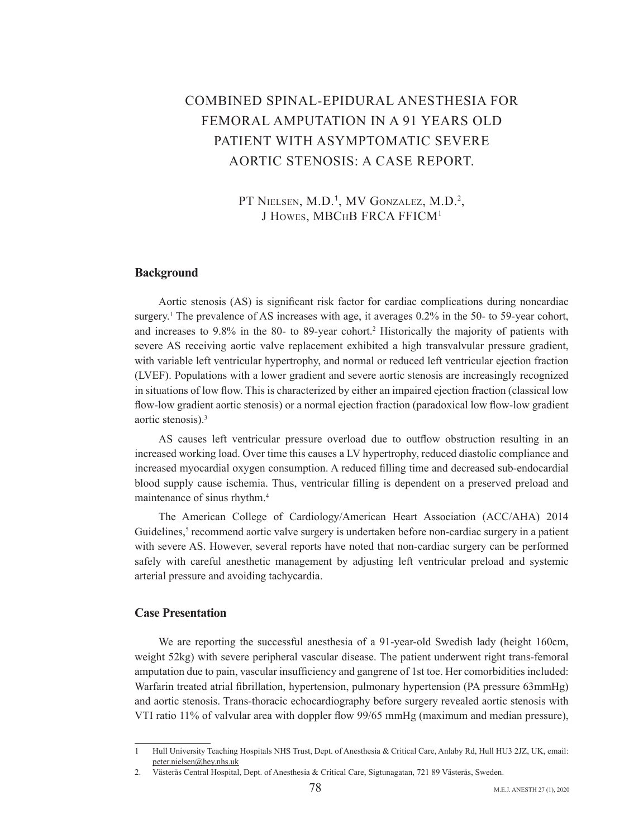# COMBINED SPINAL-EPIDURAL ANESTHESIA FOR FEMORAL AMPUTATION IN A 91 YEARS OLD PATIENT WITH ASYMPTOMATIC SEVERE AORTIC STENOSIS: A CASE REPORT.

PT NIELSEN, M.D.<sup>1</sup>, MV GONZALEZ, M.D.<sup>2</sup>, J HOWES, MBCHB FRCA FFICM<sup>1</sup>

### **Background**

Aortic stenosis (AS) is significant risk factor for cardiac complications during noncardiac surgery.<sup>1</sup> The prevalence of AS increases with age, it averages  $0.2\%$  in the 50- to 59-year cohort, and increases to 9.8% in the 80- to 89-year cohort.<sup>2</sup> Historically the majority of patients with severe AS receiving aortic valve replacement exhibited a high transvalvular pressure gradient, with variable left ventricular hypertrophy, and normal or reduced left ventricular ejection fraction (LVEF). Populations with a lower gradient and severe aortic stenosis are increasingly recognized in situations of low flow. This is characterized by either an impaired ejection fraction (classical low flow-low gradient aortic stenosis) or a normal ejection fraction (paradoxical low flow-low gradient aortic stenosis). $3$ 

AS causes left ventricular pressure overload due to outflow obstruction resulting in an increased working load. Over time this causes a LV hypertrophy, reduced diastolic compliance and increased myocardial oxygen consumption. A reduced filling time and decreased sub-endocardial blood supply cause ischemia. Thus, ventricular filling is dependent on a preserved preload and maintenance of sinus rhythm.<sup>4</sup>

The American College of Cardiology/American Heart Association (ACC/AHA) 2014 Guidelines,<sup>5</sup> recommend aortic valve surgery is undertaken before non-cardiac surgery in a patient with severe AS. However, several reports have noted that non-cardiac surgery can be performed safely with careful anesthetic management by adjusting left ventricular preload and systemic arterial pressure and avoiding tachycardia.

#### **Case Presentation**

We are reporting the successful anesthesia of a 91-year-old Swedish lady (height 160cm, weight 52kg) with severe peripheral vascular disease. The patient underwent right trans-femoral amputation due to pain, vascular insufficiency and gangrene of 1st toe. Her comorbidities included: Warfarin treated atrial fibrillation, hypertension, pulmonary hypertension (PA pressure 63mmHg) and aortic stenosis. Trans-thoracic echocardiography before surgery revealed aortic-stenosis with VTI ratio 11% of valvular area with doppler flow 99/65 mmHg (maximum and median pressure),

<sup>1</sup> Hull University Teaching Hospitals NHS Trust, Dept. of Anesthesia & Critical Care, Anlaby Rd, Hull HU3 2JZ, UK, email: peter.nielsen@hey.nhs.uk

<sup>2.</sup> Västerås Central Hospital, Dept. of Anesthesia & Critical Care, Sigtunagatan, 721 89 Västerås, Sweden.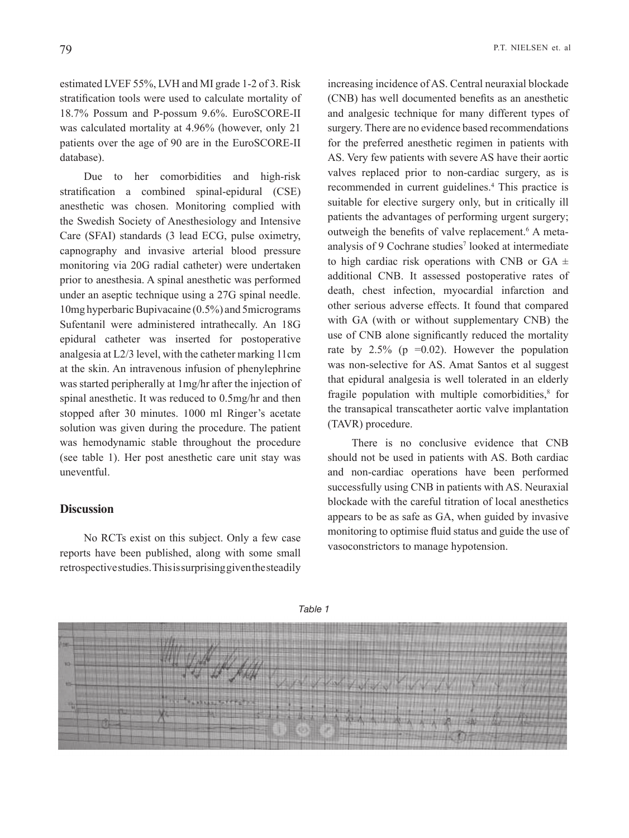estimated LVEF 55%, LVH and MI grade 1-2 of 3. Risk stratification tools were used to calculate mortality of 18.7% Possum and P-possum 9.6%. EuroSCORE-II was calculated mortality at 4.96% (however, only 21 patients over the age of 90 are in the EuroSCORE-II database).

Due to her comorbidities and high-risk stratification a combined spinal-epidural (CSE) anesthetic was chosen. Monitoring complied with the Swedish Society of Anesthesiology and Intensive Care (SFAI) standards (3 lead ECG, pulse oximetry, capnography and invasive arterial blood pressure monitoring via 20G radial catheter) were undertaken prior to anesthesia. A spinal anesthetic was performed under an aseptic technique using a 27G spinal needle. 10 mg hyperbaric Bupivacaine  $(0.5\%)$  and 5 micrograms Sufentanil were administered intrathecally. An 18G epidural catheter was inserted for postoperative analgesia at  $L\frac{2}{3}$  level, with the catheter marking 11cm at the skin. An intravenous infusion of phenylephrine was started peripherally at 1mg/hr after the injection of spinal anesthetic. It was reduced to 0.5 mg/hr and then stopped after 30 minutes. 1000 ml Ringer's acetate solution was given during the procedure. The patient was hemodynamic stable throughout the procedure (see table 1). Her post anesthetic care unit stay was .uneventful

#### **Discussion**

No RCTs exist on this subject. Only a few case reports have been published, along with some small retrospective studies. This is surprising given the steadily increasing incidence of AS. Central neuraxial blockade (CNB) has well documented benefits as an anesthetic and analgesic technique for many different types of surgery. There are no evidence based recommendations for the preferred anesthetic regimen in patients with AS. Very few patients with severe AS have their aortic valves replaced prior to non-cardiac surgery, as is recommended in current guidelines.<sup>4</sup> This practice is suitable for elective surgery only, but in critically ill patients the advantages of performing urgent surgery; outweigh the benefits of valve replacement.<sup>6</sup> A meta outweigh the benefits of valve replacement.<sup>6</sup> A meta-<br>analysis of 9 Cochrane studies<sup>7</sup> looked at intermediate to high cardiac risk operations with CNB or GA  $\pm$ additional CNB. It assessed postoperative rates of death, chest infection, myocardial infarction and other serious adverse effects. It found that compared with GA (with or without supplementary CNB) the use of CNB alone significantly reduced the mortality rate by  $2.5\%$  (p =0.02). However the population was non-selective for AS. Amat Santos et al suggest that epidural analgesia is well tolerated in an elderly fragile population with multiple comorbidities,<sup>8</sup> for the transapical transcatheter aortic valve implantation (TAVR) procedure.

There is no conclusive evidence that CNB should not be used in patients with AS. Both cardiac and non-cardiac operations have been performed successfully using CNB in patients with AS. Neuraxial blockade with the careful titration of local anesthetics appears to be as safe as GA, when guided by invasive monitoring to optimise fluid status and guide the use of vasoconstrictors to manage hypotension.



*1 Table*